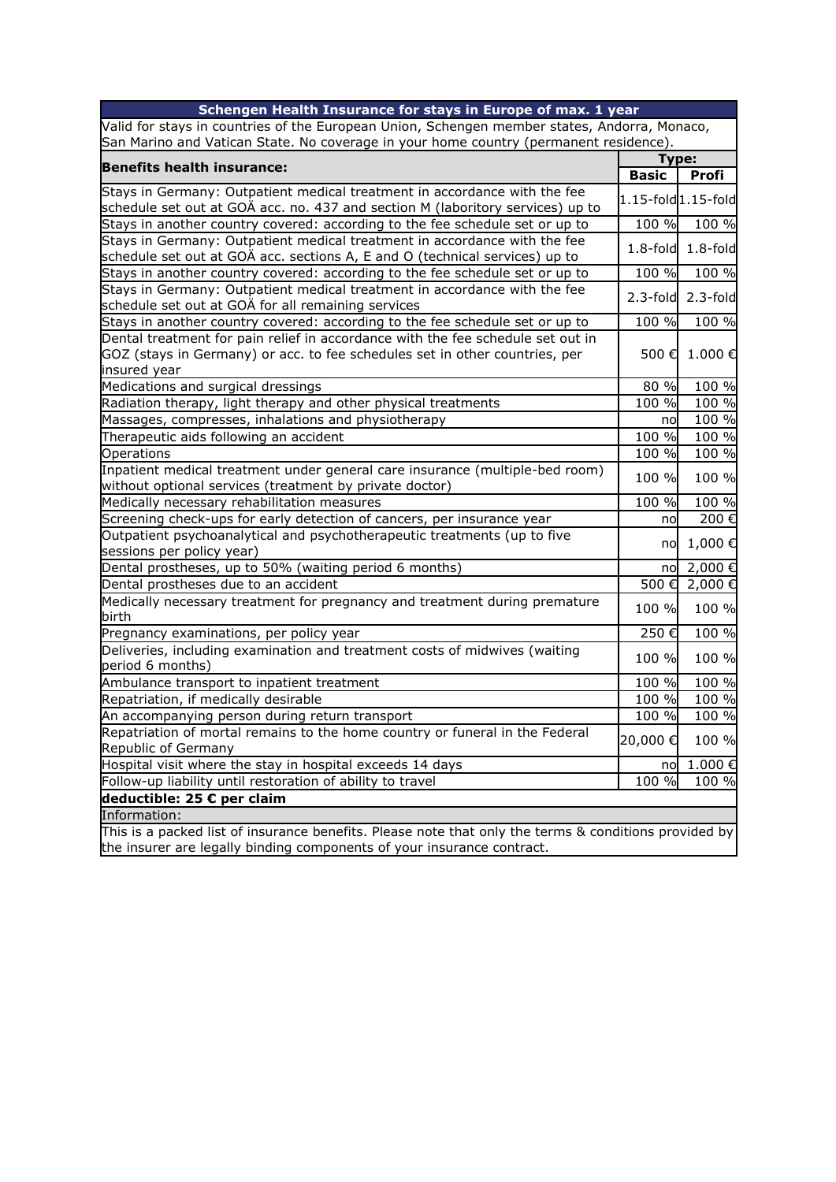| Schengen Health Insurance for stays in Europe of max. 1 year                                                                            |              |                         |  |
|-----------------------------------------------------------------------------------------------------------------------------------------|--------------|-------------------------|--|
| Valid for stays in countries of the European Union, Schengen member states, Andorra, Monaco,                                            |              |                         |  |
| San Marino and Vatican State. No coverage in your home country (permanent residence).                                                   |              |                         |  |
| <b>Benefits health insurance:</b>                                                                                                       |              | Type:                   |  |
|                                                                                                                                         | <b>Basic</b> | Profi                   |  |
| Stays in Germany: Outpatient medical treatment in accordance with the fee                                                               |              | 1.15-fold 1.15-fold     |  |
| schedule set out at GOÄ acc. no. 437 and section M (laboritory services) up to                                                          |              |                         |  |
| Stays in another country covered: according to the fee schedule set or up to                                                            | 100 %        | 100 %                   |  |
| Stays in Germany: Outpatient medical treatment in accordance with the fee                                                               | $1.8-fold$   | $1.8-fold$              |  |
| schedule set out at GOÄ acc. sections A, E and O (technical services) up to                                                             |              |                         |  |
| Stays in another country covered: according to the fee schedule set or up to                                                            | 100 %        | 100 %                   |  |
| Stays in Germany: Outpatient medical treatment in accordance with the fee                                                               |              | $2.3$ -fold $2.3$ -fold |  |
| schedule set out at GOÄ for all remaining services                                                                                      |              |                         |  |
| Stays in another country covered: according to the fee schedule set or up to                                                            | 100 %        | 100 %                   |  |
| Dental treatment for pain relief in accordance with the fee schedule set out in                                                         |              |                         |  |
| GOZ (stays in Germany) or acc. to fee schedules set in other countries, per                                                             | 500€         | 1.000€                  |  |
| insured year<br>Medications and surgical dressings                                                                                      | 80 %         | 100 %                   |  |
| Radiation therapy, light therapy and other physical treatments                                                                          | 100 %        | 100 %                   |  |
| Massages, compresses, inhalations and physiotherapy                                                                                     |              | 100 %                   |  |
| Therapeutic aids following an accident                                                                                                  | no<br>100 %  | 100 %                   |  |
| Operations                                                                                                                              | 100 %        | 100 %                   |  |
|                                                                                                                                         |              |                         |  |
| Inpatient medical treatment under general care insurance (multiple-bed room)<br>without optional services (treatment by private doctor) | 100 %        | 100 %                   |  |
| Medically necessary rehabilitation measures                                                                                             | 100 %        | 100 %                   |  |
| Screening check-ups for early detection of cancers, per insurance year                                                                  | no           | 200€                    |  |
| Outpatient psychoanalytical and psychotherapeutic treatments (up to five                                                                |              |                         |  |
| sessions per policy year)                                                                                                               | no           | 1,000€                  |  |
| Dental prostheses, up to 50% (waiting period 6 months)                                                                                  | nol          | 2,000€                  |  |
| Dental prostheses due to an accident                                                                                                    | 500€         | 2,000€                  |  |
| Medically necessary treatment for pregnancy and treatment during premature                                                              |              |                         |  |
| birth                                                                                                                                   | 100 %        | 100 %                   |  |
| Pregnancy examinations, per policy year                                                                                                 | 250€         | 100 %                   |  |
| Deliveries, including examination and treatment costs of midwives (waiting                                                              |              |                         |  |
| period 6 months)                                                                                                                        | 100 %        | 100 %                   |  |
| Ambulance transport to inpatient treatment                                                                                              | 100 %        | 100 %                   |  |
| Repatriation, if medically desirable                                                                                                    | 100 %        | 100 %                   |  |
| An accompanying person during return transport                                                                                          | 100 %        | 100 %                   |  |
| Repatriation of mortal remains to the home country or funeral in the Federal                                                            | 20,000€      | 100 %                   |  |
| Republic of Germany                                                                                                                     |              |                         |  |
| Hospital visit where the stay in hospital exceeds 14 days                                                                               | no           | 1.000€                  |  |
| Follow-up liability until restoration of ability to travel                                                                              | 100 %        | 100 %                   |  |
| deductible: 25 € per claim                                                                                                              |              |                         |  |
| Information:                                                                                                                            |              |                         |  |
| This is a packed list of insurance benefits. Please note that only the terms & conditions provided by                                   |              |                         |  |
| the insurer are legally binding components of your insurance contract.                                                                  |              |                         |  |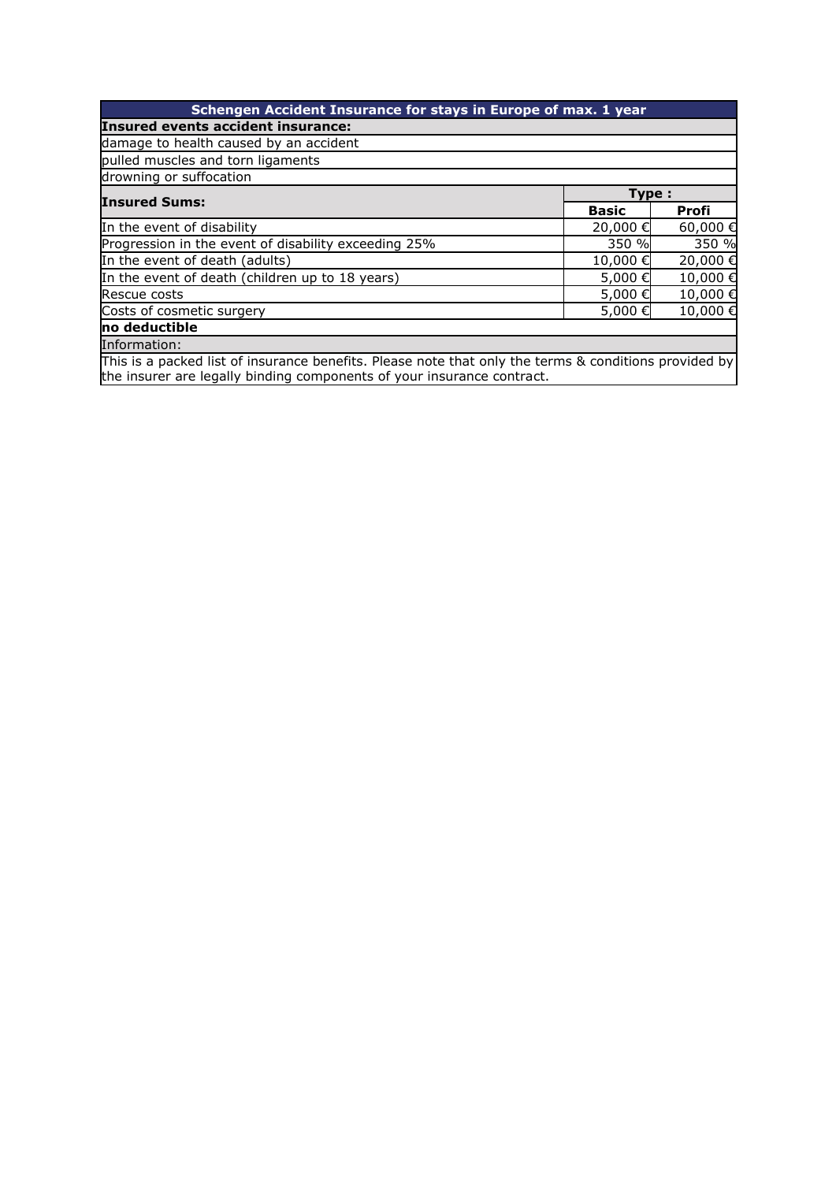| Schengen Accident Insurance for stays in Europe of max. 1 year                                        |              |              |  |  |
|-------------------------------------------------------------------------------------------------------|--------------|--------------|--|--|
| Insured events accident insurance:                                                                    |              |              |  |  |
| damage to health caused by an accident                                                                |              |              |  |  |
| pulled muscles and torn ligaments                                                                     |              |              |  |  |
| drowning or suffocation                                                                               |              |              |  |  |
| <b>Insured Sums:</b>                                                                                  |              | Type:        |  |  |
|                                                                                                       | <b>Basic</b> | <b>Profi</b> |  |  |
| In the event of disability                                                                            | 20,000€      | 60,000€      |  |  |
| Progression in the event of disability exceeding 25%                                                  | 350 %        | 350 %        |  |  |
| In the event of death (adults)                                                                        | 10,000€      | 20,000 €     |  |  |
| In the event of death (children up to 18 years)                                                       | 5,000€       | 10,000€      |  |  |
| Rescue costs                                                                                          | 5,000€       | 10,000€      |  |  |
| Costs of cosmetic surgery                                                                             | 5,000€       | 10,000€      |  |  |
| no deductible                                                                                         |              |              |  |  |
| Information:                                                                                          |              |              |  |  |
| This is a packed list of insurance benefits. Please note that only the terms & conditions provided by |              |              |  |  |

This is a packed list of insurance benefits. Please note that only the terms & conditions provided by the insurer are legally binding components of your insurance contract.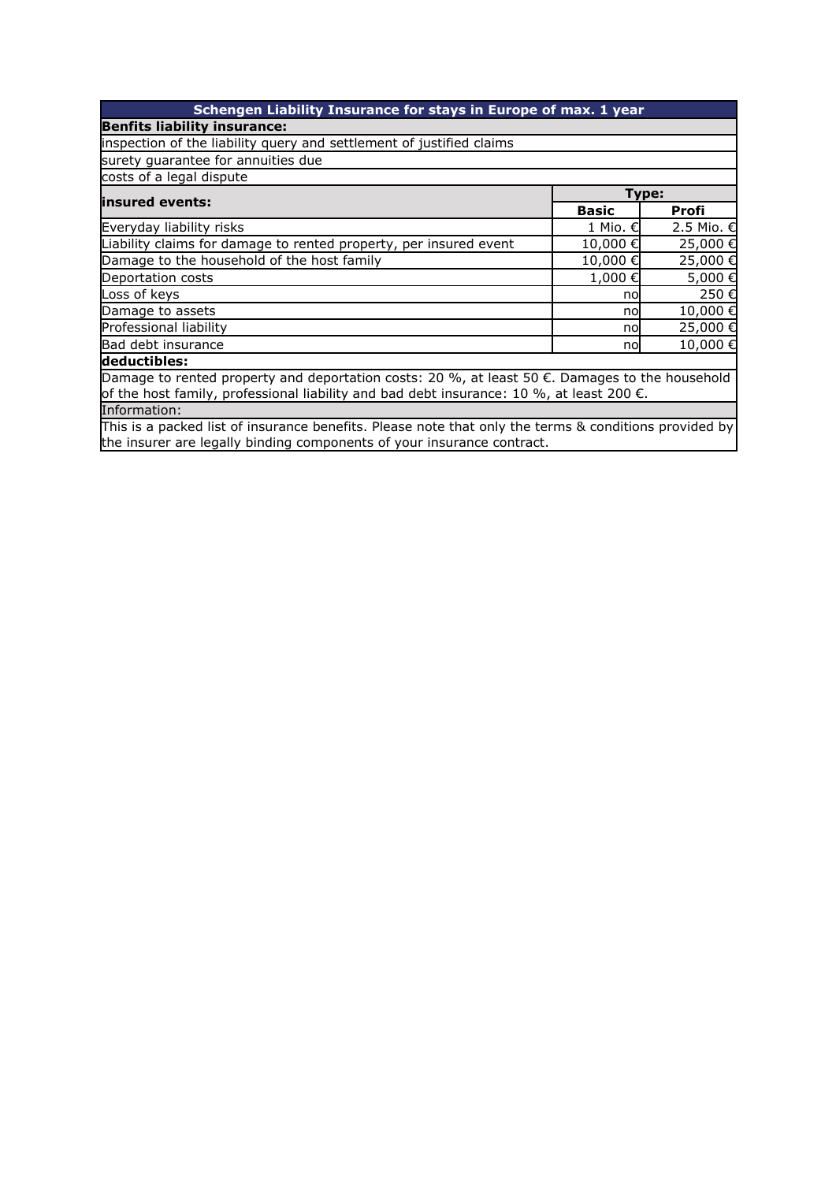| Schengen Liability Insurance for stays in Europe of max. 1 year                                                                                                                                      |              |            |  |
|------------------------------------------------------------------------------------------------------------------------------------------------------------------------------------------------------|--------------|------------|--|
| <b>Benfits liability insurance:</b>                                                                                                                                                                  |              |            |  |
| inspection of the liability query and settlement of justified claims                                                                                                                                 |              |            |  |
| surety guarantee for annuities due                                                                                                                                                                   |              |            |  |
| costs of a legal dispute                                                                                                                                                                             |              |            |  |
| linsured events:                                                                                                                                                                                     | Type:        |            |  |
|                                                                                                                                                                                                      | <b>Basic</b> | Profi      |  |
| Everyday liability risks                                                                                                                                                                             | 1 Mio. €     | 2.5 Mio. € |  |
| Liability claims for damage to rented property, per insured event                                                                                                                                    | 10,000€      | 25,000€    |  |
| Damage to the household of the host family                                                                                                                                                           | 10,000€      | 25,000€    |  |
| Deportation costs                                                                                                                                                                                    | 1,000 €      | 5,000€     |  |
| Loss of keys                                                                                                                                                                                         | no           | 250€       |  |
| Damage to assets                                                                                                                                                                                     | no           | 10,000€    |  |
| Professional liability                                                                                                                                                                               | no           | 25,000€    |  |
| Bad debt insurance                                                                                                                                                                                   | no           | 10,000€    |  |
| deductibles:                                                                                                                                                                                         |              |            |  |
| Damage to rented property and deportation costs: 20 %, at least 50 €. Damages to the household<br>of the host family, professional liability and bad debt insurance: 10 %, at least 200 $\epsilon$ . |              |            |  |
| Information:                                                                                                                                                                                         |              |            |  |
| hniaidh an chomhlaidh an chliadh an chomhlaidh an bhaile agus an chomhlaidh an chomhlaidh ann an chomhlaidh an                                                                                       |              |            |  |

This is a packed list of insurance benefits. Please note that only the terms & conditions provided by the insurer are legally binding components of your insurance contract.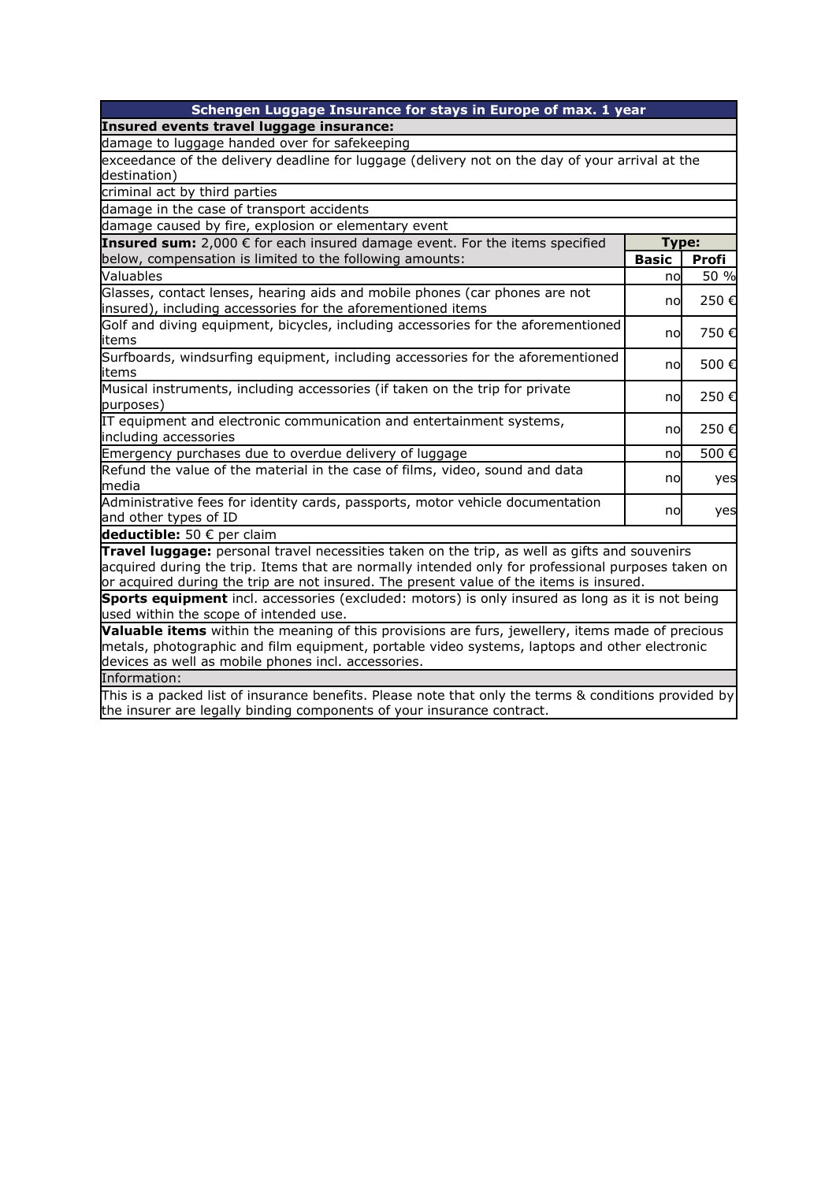| Schengen Luggage Insurance for stays in Europe of max. 1 year                                         |              |              |  |
|-------------------------------------------------------------------------------------------------------|--------------|--------------|--|
| Insured events travel luggage insurance:                                                              |              |              |  |
| damage to luggage handed over for safekeeping                                                         |              |              |  |
| exceedance of the delivery deadline for luggage (delivery not on the day of your arrival at the       |              |              |  |
| destination)                                                                                          |              |              |  |
| criminal act by third parties                                                                         |              |              |  |
| damage in the case of transport accidents                                                             |              |              |  |
| damage caused by fire, explosion or elementary event                                                  |              |              |  |
| Insured sum: 2,000 € for each insured damage event. For the items specified                           | Type:        |              |  |
| below, compensation is limited to the following amounts:                                              | <b>Basic</b> | <b>Profi</b> |  |
| Valuables                                                                                             | no           | 50 %         |  |
| Glasses, contact lenses, hearing aids and mobile phones (car phones are not                           |              | 250€         |  |
| insured), including accessories for the aforementioned items                                          | no           |              |  |
| Golf and diving equipment, bicycles, including accessories for the aforementioned                     |              | 750€         |  |
| items                                                                                                 | no           |              |  |
| Surfboards, windsurfing equipment, including accessories for the aforementioned                       | no           | 500€         |  |
| items                                                                                                 |              |              |  |
| Musical instruments, including accessories (if taken on the trip for private                          | no           | 250€         |  |
| purposes)                                                                                             |              |              |  |
| IT equipment and electronic communication and entertainment systems,                                  | no           | 250€         |  |
| including accessories                                                                                 |              |              |  |
| Emergency purchases due to overdue delivery of luggage                                                | no           | 500€         |  |
| Refund the value of the material in the case of films, video, sound and data                          | no           | yes          |  |
| media                                                                                                 |              |              |  |
| Administrative fees for identity cards, passports, motor vehicle documentation                        | no           | yes          |  |
| and other types of ID                                                                                 |              |              |  |
| deductible: 50 € per claim                                                                            |              |              |  |
| Travel luggage: personal travel necessities taken on the trip, as well as gifts and souvenirs         |              |              |  |
| acquired during the trip. Items that are normally intended only for professional purposes taken on    |              |              |  |
| or acquired during the trip are not insured. The present value of the items is insured.               |              |              |  |
| Sports equipment incl. accessories (excluded: motors) is only insured as long as it is not being      |              |              |  |
| used within the scope of intended use.                                                                |              |              |  |
| Valuable items within the meaning of this provisions are furs, jewellery, items made of precious      |              |              |  |
| metals, photographic and film equipment, portable video systems, laptops and other electronic         |              |              |  |
| devices as well as mobile phones incl. accessories.                                                   |              |              |  |
| Information:                                                                                          |              |              |  |
| This is a packed list of insurance benefits. Please note that only the terms & conditions provided by |              |              |  |
| the insurer are legally binding components of your insurance contract.                                |              |              |  |